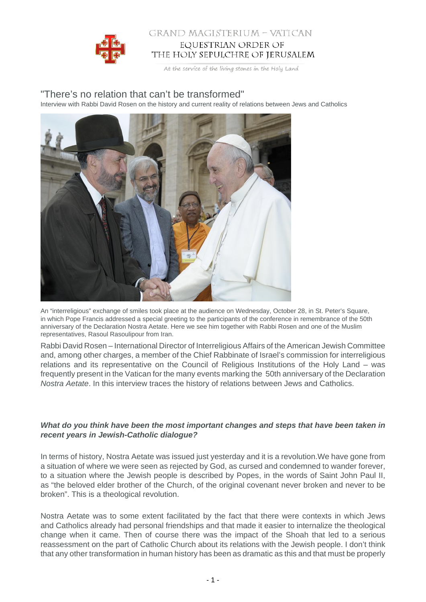

## GRAND MAGISTERIUM - VATICAN EQUESTRIAN ORDER OF THE HOLY SEPULCHRE OF JERUSALEM

At the service of the living stones in the Holy Land

# "There's no relation that can't be transformed"

Interview with Rabbi David Rosen on the history and current reality of relations between Jews and Catholics



An "interreligious" exchange of smiles took place at the audience on Wednesday, October 28, in St. Peter's Square, in which Pope Francis addressed a special greeting to the participants of the conference in remembrance of the 50th anniversary of the Declaration Nostra Aetate. Here we see him together with Rabbi Rosen and one of the Muslim representatives, Rasoul Rasoulipour from Iran.

Rabbi David Rosen – International Director of Interreligious Affairs of the American Jewish Committee and, among other charges, a member of the Chief Rabbinate of Israel's commission for interreligious relations and its representative on the Council of Religious Institutions of the Holy Land – was frequently present in the Vatican for the many events marking the 50th anniversary of the Declaration Nostra Aetate. In this interview traces the history of relations between Jews and Catholics.

## **What do you think have been the most important changes and steps that have been taken in recent years in Jewish-Catholic dialogue?**

In terms of history, Nostra Aetate was issued just yesterday and it is a revolution.We have gone from a situation of where we were seen as rejected by God, as cursed and condemned to wander forever, to a situation where the Jewish people is described by Popes, in the words of Saint John Paul II, as "the beloved elder brother of the Church, of the original covenant never broken and never to be broken". This is a theological revolution.

Nostra Aetate was to some extent facilitated by the fact that there were contexts in which Jews and Catholics already had personal friendships and that made it easier to internalize the theological change when it came. Then of course there was the impact of the Shoah that led to a serious reassessment on the part of Catholic Church about its relations with the Jewish people. I don't think that any other transformation in human history has been as dramatic as this and that must be properly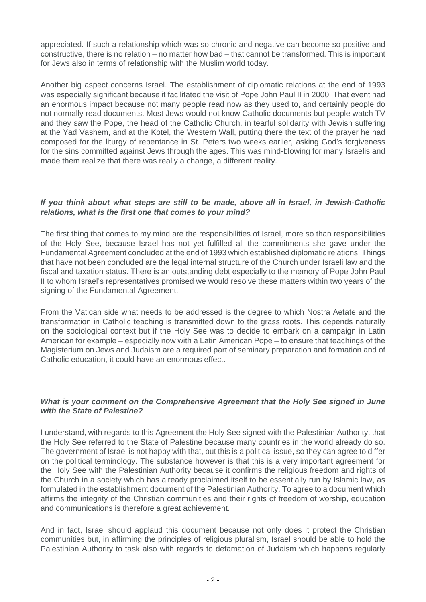appreciated. If such a relationship which was so chronic and negative can become so positive and constructive, there is no relation – no matter how bad – that cannot be transformed. This is important for Jews also in terms of relationship with the Muslim world today.

Another big aspect concerns Israel. The establishment of diplomatic relations at the end of 1993 was especially significant because it facilitated the visit of Pope John Paul II in 2000. That event had an enormous impact because not many people read now as they used to, and certainly people do not normally read documents. Most Jews would not know Catholic documents but people watch TV and they saw the Pope, the head of the Catholic Church, in tearful solidarity with Jewish suffering at the Yad Vashem, and at the Kotel, the Western Wall, putting there the text of the prayer he had composed for the liturgy of repentance in St. Peters two weeks earlier, asking God's forgiveness for the sins committed against Jews through the ages. This was mind-blowing for many Israelis and made them realize that there was really a change, a different reality.

## **If you think about what steps are still to be made, above all in Israel, in Jewish-Catholic relations, what is the first one that comes to your mind?**

The first thing that comes to my mind are the responsibilities of Israel, more so than responsibilities of the Holy See, because Israel has not yet fulfilled all the commitments she gave under the Fundamental Agreement concluded at the end of 1993 which established diplomatic relations. Things that have not been concluded are the legal internal structure of the Church under Israeli law and the fiscal and taxation status. There is an outstanding debt especially to the memory of Pope John Paul II to whom Israel's representatives promised we would resolve these matters within two years of the signing of the Fundamental Agreement.

From the Vatican side what needs to be addressed is the degree to which Nostra Aetate and the transformation in Catholic teaching is transmitted down to the grass roots. This depends naturally on the sociological context but if the Holy See was to decide to embark on a campaign in Latin American for example – especially now with a Latin American Pope – to ensure that teachings of the Magisterium on Jews and Judaism are a required part of seminary preparation and formation and of Catholic education, it could have an enormous effect.

#### **What is your comment on the Comprehensive Agreement that the Holy See signed in June with the State of Palestine?**

I understand, with regards to this Agreement the Holy See signed with the Palestinian Authority, that the Holy See referred to the State of Palestine because many countries in the world already do so. The government of Israel is not happy with that, but this is a political issue, so they can agree to differ on the political terminology. The substance however is that this is a very important agreement for the Holy See with the Palestinian Authority because it confirms the religious freedom and rights of the Church in a society which has already proclaimed itself to be essentially run by Islamic law, as formulated in the establishment document of the Palestinian Authority. To agree to a document which affirms the integrity of the Christian communities and their rights of freedom of worship, education and communications is therefore a great achievement.

And in fact, Israel should applaud this document because not only does it protect the Christian communities but, in affirming the principles of religious pluralism, Israel should be able to hold the Palestinian Authority to task also with regards to defamation of Judaism which happens regularly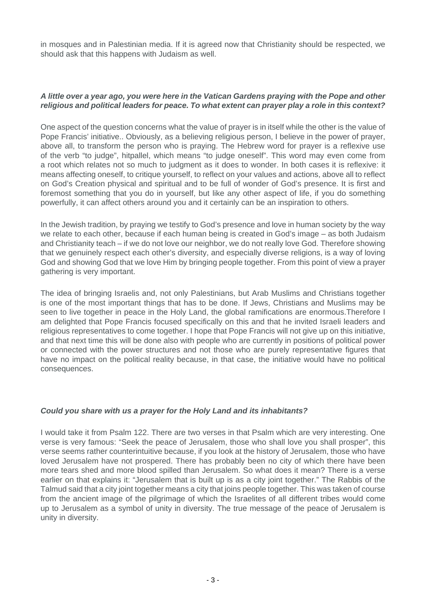in mosques and in Palestinian media. If it is agreed now that Christianity should be respected, we should ask that this happens with Judaism as well.

#### **A little over a year ago, you were here in the Vatican Gardens praying with the Pope and other religious and political leaders for peace. To what extent can prayer play a role in this context?**

One aspect of the question concerns what the value of prayer is in itself while the other is the value of Pope Francis' initiative.. Obviously, as a believing religious person, I believe in the power of prayer, above all, to transform the person who is praying. The Hebrew word for prayer is a reflexive use of the verb "to judge", hitpallel, which means "to judge oneself". This word may even come from a root which relates not so much to judgment as it does to wonder. In both cases it is reflexive: it means affecting oneself, to critique yourself, to reflect on your values and actions, above all to reflect on God's Creation physical and spiritual and to be full of wonder of God's presence. It is first and foremost something that you do in yourself, but like any other aspect of life, if you do something powerfully, it can affect others around you and it certainly can be an inspiration to others.

In the Jewish tradition, by praying we testify to God's presence and love in human society by the way we relate to each other, because if each human being is created in God's image – as both Judaism and Christianity teach – if we do not love our neighbor, we do not really love God. Therefore showing that we genuinely respect each other's diversity, and especially diverse religions, is a way of loving God and showing God that we love Him by bringing people together. From this point of view a prayer gathering is very important.

The idea of bringing Israelis and, not only Palestinians, but Arab Muslims and Christians together is one of the most important things that has to be done. If Jews, Christians and Muslims may be seen to live together in peace in the Holy Land, the global ramifications are enormous.Therefore I am delighted that Pope Francis focused specifically on this and that he invited Israeli leaders and religious representatives to come together. I hope that Pope Francis will not give up on this initiative, and that next time this will be done also with people who are currently in positions of political power or connected with the power structures and not those who are purely representative figures that have no impact on the political reality because, in that case, the initiative would have no political consequences.

#### **Could you share with us a prayer for the Holy Land and its inhabitants?**

I would take it from Psalm 122. There are two verses in that Psalm which are very interesting. One verse is very famous: "Seek the peace of Jerusalem, those who shall love you shall prosper", this verse seems rather counterintuitive because, if you look at the history of Jerusalem, those who have loved Jerusalem have not prospered. There has probably been no city of which there have been more tears shed and more blood spilled than Jerusalem. So what does it mean? There is a verse earlier on that explains it: "Jerusalem that is built up is as a city joint together." The Rabbis of the Talmud said that a city joint together means a city that joins people together. This was taken of course from the ancient image of the pilgrimage of which the Israelites of all different tribes would come up to Jerusalem as a symbol of unity in diversity. The true message of the peace of Jerusalem is unity in diversity.